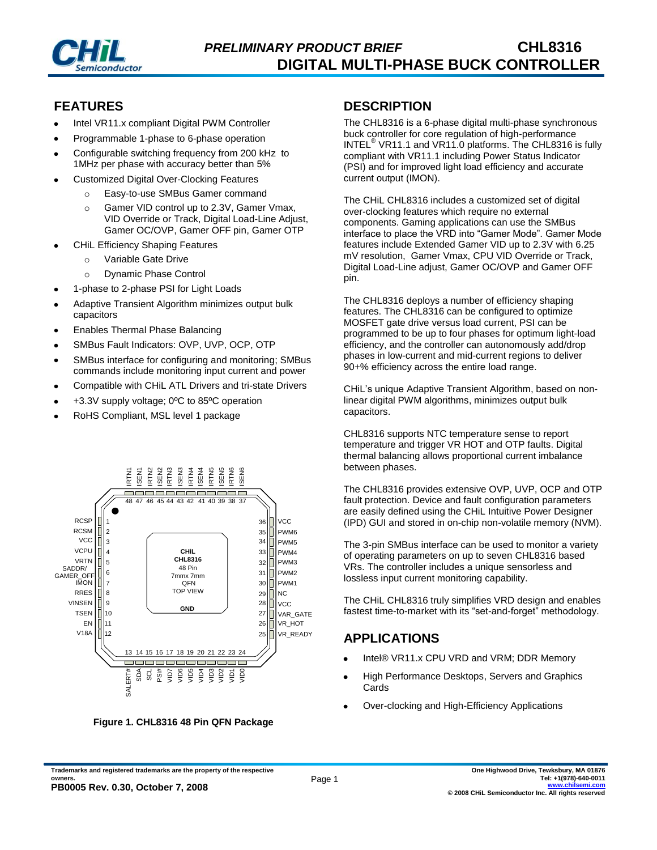

### **FEATURES**

- Intel VR11.x compliant Digital PWM Controller
- Programmable 1-phase to 6-phase operation
- Configurable switching frequency from 200 kHz to 1MHz per phase with accuracy better than 5%
- Customized Digital Over-Clocking Features
	- o Easy-to-use SMBus Gamer command
	- o Gamer VID control up to 2.3V, Gamer Vmax, VID Override or Track, Digital Load-Line Adjust, Gamer OC/OVP, Gamer OFF pin, Gamer OTP
- CHiL Efficiency Shaping Features
	- Variable Gate Drive
	- o Dynamic Phase Control
- 1-phase to 2-phase PSI for Light Loads
- Adaptive Transient Algorithm minimizes output bulk capacitors
- Enables Thermal Phase Balancing
- SMBus Fault Indicators: OVP, UVP, OCP, OTP
- SMBus interface for configuring and monitoring; SMBus commands include monitoring input current and power
- Compatible with CHiL ATL Drivers and tri-state Drivers
- +3.3V supply voltage; 0ºC to 85ºC operation
- RoHS Compliant, MSL level 1 package



**Figure 1. CHL8316 48 Pin QFN Package**

### **DESCRIPTION**

The CHL8316 is a 6-phase digital multi-phase synchronous buck controller for core regulation of high-performance INTEL® VR11.1 and VR11.0 platforms. The CHL8316 is fully compliant with VR11.1 including Power Status Indicator (PSI) and for improved light load efficiency and accurate current output (IMON).

The CHiL CHL8316 includes a customized set of digital over-clocking features which require no external components. Gaming applications can use the SMBus interface to place the VRD into "Gamer Mode". Gamer Mode features include Extended Gamer VID up to 2.3V with 6.25 mV resolution, Gamer Vmax, CPU VID Override or Track, Digital Load-Line adjust, Gamer OC/OVP and Gamer OFF pin.

The CHL8316 deploys a number of efficiency shaping features. The CHL8316 can be configured to optimize MOSFET gate drive versus load current, PSI can be programmed to be up to four phases for optimum light-load efficiency, and the controller can autonomously add/drop phases in low-current and mid-current regions to deliver 90+% efficiency across the entire load range.

CHiL's unique Adaptive Transient Algorithm, based on nonlinear digital PWM algorithms, minimizes output bulk capacitors.

CHL8316 supports NTC temperature sense to report temperature and trigger VR HOT and OTP faults. Digital thermal balancing allows proportional current imbalance between phases.

The CHL8316 provides extensive OVP, UVP, OCP and OTP fault protection. Device and fault configuration parameters are easily defined using the CHiL Intuitive Power Designer (IPD) GUI and stored in on-chip non-volatile memory (NVM).

The 3-pin SMBus interface can be used to monitor a variety of operating parameters on up to seven CHL8316 based VRs. The controller includes a unique sensorless and lossless input current monitoring capability.

The CHiL CHL8316 truly simplifies VRD design and enables fastest time-to-market with its "set-and-forget" methodology.

# **APPLICATIONS**

- Intel® VR11.x CPU VRD and VRM; DDR Memory
- High Performance Desktops, Servers and Graphics Cards
- Over-clocking and High-Efficiency Applications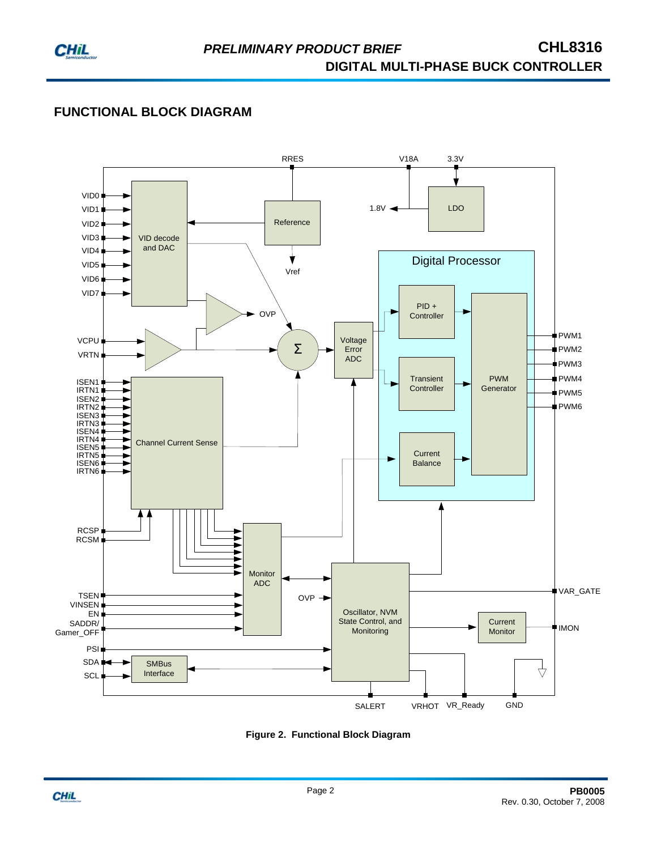

# **FUNCTIONAL BLOCK DIAGRAM**



**Figure 2. Functional Block Diagram**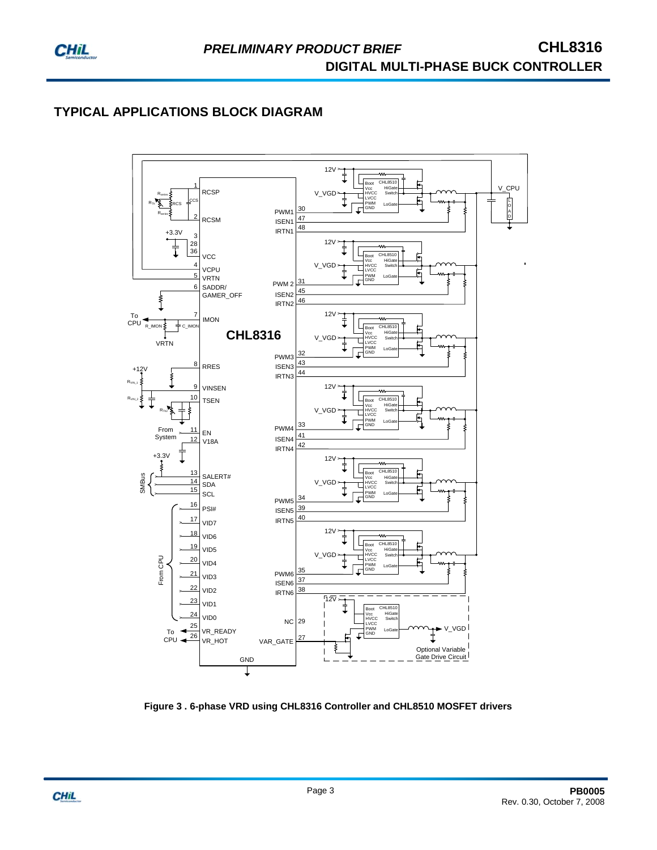

# **TYPICAL APPLICATIONS BLOCK DIAGRAM**



**Figure 3 . 6-phase VRD using CHL8316 Controller and CHL8510 MOSFET drivers**